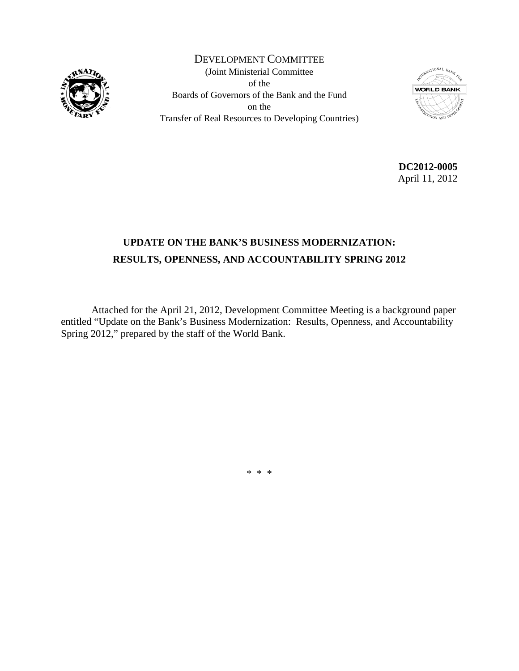

DEVELOPMENT COMMITTEE (Joint Ministerial Committee of the Boards of Governors of the Bank and the Fund on the Transfer of Real Resources to Developing Countries)



**DC2012-0005**  April 11, 2012

# **UPDATE ON THE BANK'S BUSINESS MODERNIZATION: RESULTS, OPENNESS, AND ACCOUNTABILITY SPRING 2012**

 Attached for the April 21, 2012, Development Committee Meeting is a background paper entitled "Update on the Bank's Business Modernization: Results, Openness, and Accountability Spring 2012," prepared by the staff of the World Bank.

\* \* \*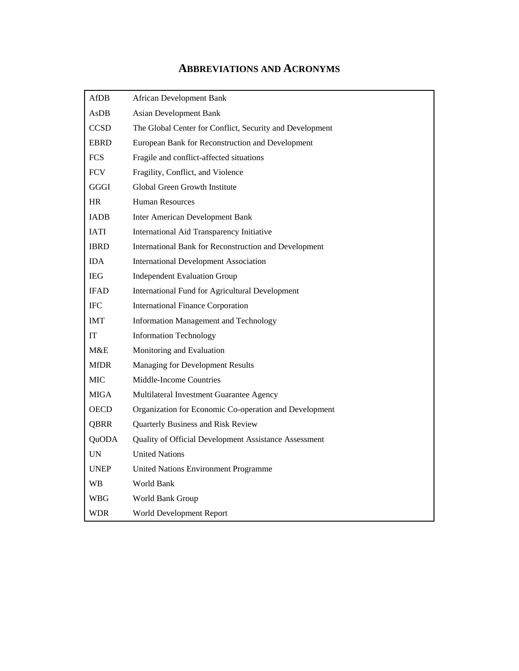# **ABBREVIATIONS AND ACRONYMS**

| <b>AfDB</b> | <b>African Development Bank</b>                          |
|-------------|----------------------------------------------------------|
| AsDB        | <b>Asian Development Bank</b>                            |
| <b>CCSD</b> | The Global Center for Conflict, Security and Development |
| EBRD        | European Bank for Reconstruction and Development         |
| <b>FCS</b>  | Fragile and conflict-affected situations                 |
| <b>FCV</b>  | Fragility, Conflict, and Violence                        |
| GGGI        | Global Green Growth Institute                            |
| <b>HR</b>   | <b>Human Resources</b>                                   |
| <b>IADB</b> | <b>Inter American Development Bank</b>                   |
| <b>IATI</b> | International Aid Transparency Initiative                |
| <b>IBRD</b> | International Bank for Reconstruction and Development    |
| IDA         | <b>International Development Association</b>             |
| <b>IEG</b>  | <b>Independent Evaluation Group</b>                      |
| <b>IFAD</b> | <b>International Fund for Agricultural Development</b>   |
| <b>IFC</b>  | <b>International Finance Corporation</b>                 |
| <b>IMT</b>  | Information Management and Technology                    |
| IT          | <b>Information Technology</b>                            |
| M&E         | Monitoring and Evaluation                                |
| <b>MfDR</b> | <b>Managing for Development Results</b>                  |
| MIC         | Middle-Income Countries                                  |
| MIGA        | Multilateral Investment Guarantee Agency                 |
| <b>OECD</b> | Organization for Economic Co-operation and Development   |
| <b>QBRR</b> | Quarterly Business and Risk Review                       |
| QuODA       | Quality of Official Development Assistance Assessment    |
| UN          | <b>United Nations</b>                                    |
| <b>UNEP</b> | <b>United Nations Environment Programme</b>              |
| WB          | World Bank                                               |
| WBG         | World Bank Group                                         |
| <b>WDR</b>  | World Development Report                                 |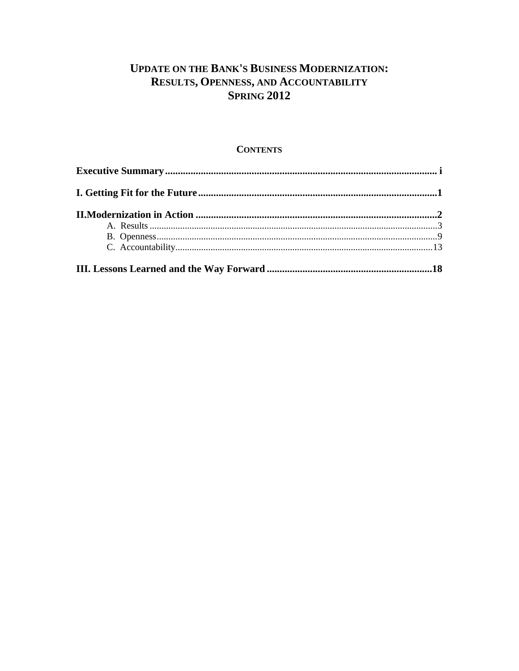# **UPDATE ON THE BANK'S BUSINESS MODERNIZATION:** RESULTS, OPENNESS, AND ACCOUNTABILITY **SPRING 2012**

### **CONTENTS**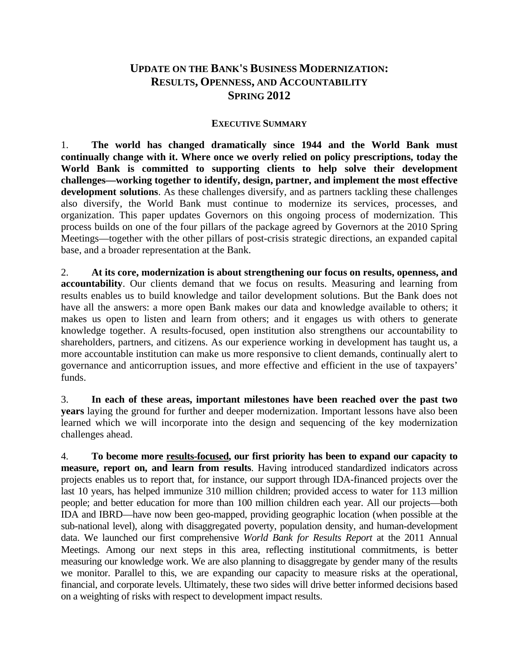# **UPDATE ON THE BANK'S BUSINESS MODERNIZATION: RESULTS, OPENNESS, AND ACCOUNTABILITY SPRING 2012**

### **EXECUTIVE SUMMARY**

1. **The world has changed dramatically since 1944 and the World Bank must continually change with it. Where once we overly relied on policy prescriptions, today the World Bank is committed to supporting clients to help solve their development challenges—working together to identify, design, partner, and implement the most effective development solutions**. As these challenges diversify, and as partners tackling these challenges also diversify, the World Bank must continue to modernize its services, processes, and organization. This paper updates Governors on this ongoing process of modernization. This process builds on one of the four pillars of the package agreed by Governors at the 2010 Spring Meetings—together with the other pillars of post-crisis strategic directions, an expanded capital base, and a broader representation at the Bank.

2. **At its core, modernization is about strengthening our focus on results, openness, and accountability**. Our clients demand that we focus on results. Measuring and learning from results enables us to build knowledge and tailor development solutions. But the Bank does not have all the answers: a more open Bank makes our data and knowledge available to others; it makes us open to listen and learn from others; and it engages us with others to generate knowledge together. A results-focused, open institution also strengthens our accountability to shareholders, partners, and citizens. As our experience working in development has taught us, a more accountable institution can make us more responsive to client demands, continually alert to governance and anticorruption issues, and more effective and efficient in the use of taxpayers' funds.

3. **In each of these areas, important milestones have been reached over the past two years** laying the ground for further and deeper modernization. Important lessons have also been learned which we will incorporate into the design and sequencing of the key modernization challenges ahead.

4. **To become more results-focused, our first priority has been to expand our capacity to measure, report on, and learn from results**. Having introduced standardized indicators across projects enables us to report that, for instance, our support through IDA-financed projects over the last 10 years, has helped immunize 310 million children; provided access to water for 113 million people; and better education for more than 100 million children each year. All our projects—both IDA and IBRD—have now been geo-mapped, providing geographic location (when possible at the sub-national level), along with disaggregated poverty, population density, and human-development data. We launched our first comprehensive *World Bank for Results Report* at the 2011 Annual Meetings. Among our next steps in this area, reflecting institutional commitments, is better measuring our knowledge work. We are also planning to disaggregate by gender many of the results we monitor. Parallel to this, we are expanding our capacity to measure risks at the operational, financial, and corporate levels. Ultimately, these two sides will drive better informed decisions based on a weighting of risks with respect to development impact results.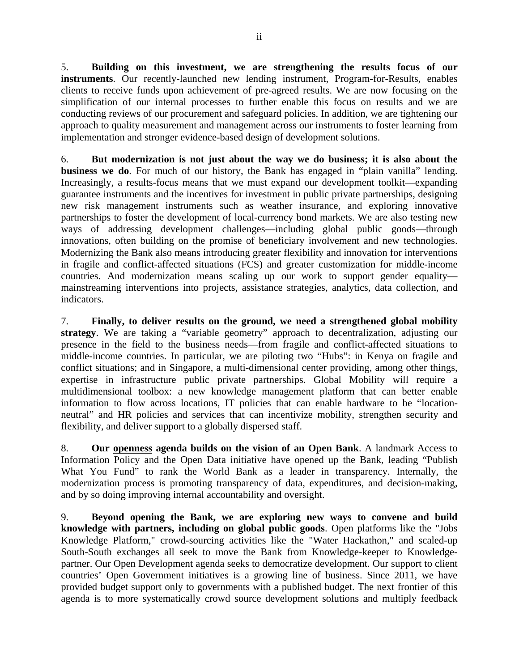5. **Building on this investment, we are strengthening the results focus of our instruments**. Our recently-launched new lending instrument, Program-for-Results, enables clients to receive funds upon achievement of pre-agreed results. We are now focusing on the simplification of our internal processes to further enable this focus on results and we are conducting reviews of our procurement and safeguard policies. In addition, we are tightening our approach to quality measurement and management across our instruments to foster learning from implementation and stronger evidence-based design of development solutions.

6. **But modernization is not just about the way we do business; it is also about the business we do**. For much of our history, the Bank has engaged in "plain vanilla" lending. Increasingly, a results-focus means that we must expand our development toolkit—expanding guarantee instruments and the incentives for investment in public private partnerships, designing new risk management instruments such as weather insurance, and exploring innovative partnerships to foster the development of local-currency bond markets. We are also testing new ways of addressing development challenges—including global public goods—through innovations, often building on the promise of beneficiary involvement and new technologies. Modernizing the Bank also means introducing greater flexibility and innovation for interventions in fragile and conflict-affected situations (FCS) and greater customization for middle-income countries. And modernization means scaling up our work to support gender equality mainstreaming interventions into projects, assistance strategies, analytics, data collection, and indicators.

7. **Finally, to deliver results on the ground, we need a strengthened global mobility strategy**. We are taking a "variable geometry" approach to decentralization, adjusting our presence in the field to the business needs—from fragile and conflict-affected situations to middle-income countries. In particular, we are piloting two "Hubs": in Kenya on fragile and conflict situations; and in Singapore, a multi-dimensional center providing, among other things, expertise in infrastructure public private partnerships. Global Mobility will require a multidimensional toolbox: a new knowledge management platform that can better enable information to flow across locations, IT policies that can enable hardware to be "locationneutral" and HR policies and services that can incentivize mobility, strengthen security and flexibility, and deliver support to a globally dispersed staff.

8. **Our openness agenda builds on the vision of an Open Bank**. A landmark Access to Information Policy and the Open Data initiative have opened up the Bank, leading "Publish What You Fund" to rank the World Bank as a leader in transparency. Internally, the modernization process is promoting transparency of data, expenditures, and decision-making, and by so doing improving internal accountability and oversight.

9. **Beyond opening the Bank, we are exploring new ways to convene and build knowledge with partners, including on global public goods**. Open platforms like the "Jobs Knowledge Platform," crowd-sourcing activities like the "Water Hackathon," and scaled-up South-South exchanges all seek to move the Bank from Knowledge-keeper to Knowledgepartner. Our Open Development agenda seeks to democratize development. Our support to client countries' Open Government initiatives is a growing line of business. Since 2011, we have provided budget support only to governments with a published budget. The next frontier of this agenda is to more systematically crowd source development solutions and multiply feedback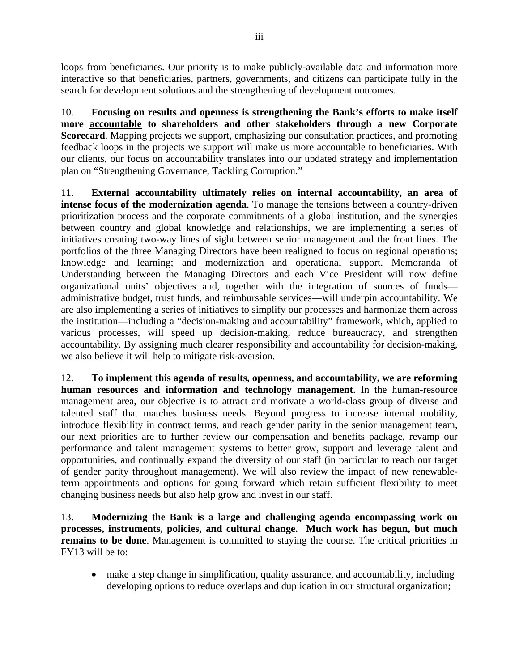loops from beneficiaries. Our priority is to make publicly-available data and information more interactive so that beneficiaries, partners, governments, and citizens can participate fully in the search for development solutions and the strengthening of development outcomes.

10. **Focusing on results and openness is strengthening the Bank's efforts to make itself more accountable to shareholders and other stakeholders through a new Corporate Scorecard**. Mapping projects we support, emphasizing our consultation practices, and promoting feedback loops in the projects we support will make us more accountable to beneficiaries. With our clients, our focus on accountability translates into our updated strategy and implementation plan on "Strengthening Governance, Tackling Corruption."

11. **External accountability ultimately relies on internal accountability, an area of intense focus of the modernization agenda**. To manage the tensions between a country-driven prioritization process and the corporate commitments of a global institution, and the synergies between country and global knowledge and relationships, we are implementing a series of initiatives creating two-way lines of sight between senior management and the front lines. The portfolios of the three Managing Directors have been realigned to focus on regional operations; knowledge and learning; and modernization and operational support. Memoranda of Understanding between the Managing Directors and each Vice President will now define organizational units' objectives and, together with the integration of sources of funds administrative budget, trust funds, and reimbursable services—will underpin accountability. We are also implementing a series of initiatives to simplify our processes and harmonize them across the institution—including a "decision-making and accountability" framework, which, applied to various processes, will speed up decision-making, reduce bureaucracy, and strengthen accountability. By assigning much clearer responsibility and accountability for decision-making, we also believe it will help to mitigate risk-aversion.

12. **To implement this agenda of results, openness, and accountability, we are reforming human resources and information and technology management**. In the human-resource management area, our objective is to attract and motivate a world-class group of diverse and talented staff that matches business needs. Beyond progress to increase internal mobility, introduce flexibility in contract terms, and reach gender parity in the senior management team, our next priorities are to further review our compensation and benefits package, revamp our performance and talent management systems to better grow, support and leverage talent and opportunities, and continually expand the diversity of our staff (in particular to reach our target of gender parity throughout management). We will also review the impact of new renewableterm appointments and options for going forward which retain sufficient flexibility to meet changing business needs but also help grow and invest in our staff.

13. **Modernizing the Bank is a large and challenging agenda encompassing work on processes, instruments, policies, and cultural change. Much work has begun, but much remains to be done**. Management is committed to staying the course. The critical priorities in FY13 will be to:

 make a step change in simplification, quality assurance, and accountability, including developing options to reduce overlaps and duplication in our structural organization;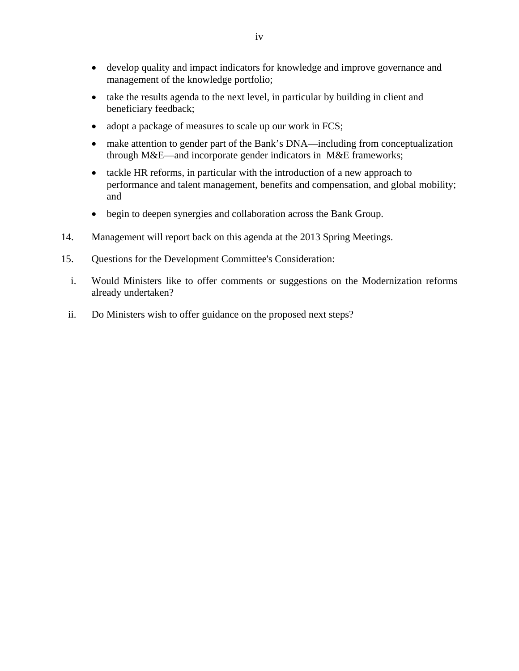- develop quality and impact indicators for knowledge and improve governance and management of the knowledge portfolio;
- take the results agenda to the next level, in particular by building in client and beneficiary feedback;
- adopt a package of measures to scale up our work in FCS;
- make attention to gender part of the Bank's DNA—including from conceptualization through M&E—and incorporate gender indicators in M&E frameworks;
- tackle HR reforms, in particular with the introduction of a new approach to performance and talent management, benefits and compensation, and global mobility; and
- begin to deepen synergies and collaboration across the Bank Group.
- 14. Management will report back on this agenda at the 2013 Spring Meetings.
- 15. Questions for the Development Committee's Consideration:
	- i. Would Ministers like to offer comments or suggestions on the Modernization reforms already undertaken?
	- ii. Do Ministers wish to offer guidance on the proposed next steps?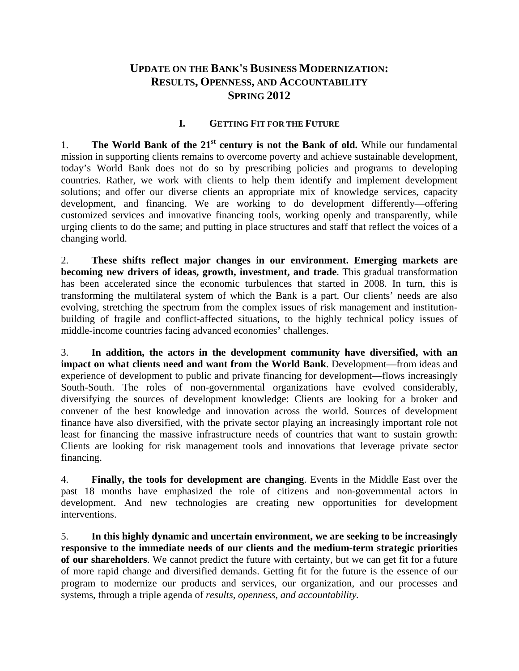# **UPDATE ON THE BANK'S BUSINESS MODERNIZATION: RESULTS, OPENNESS, AND ACCOUNTABILITY SPRING 2012**

### **I. GETTING FIT FOR THE FUTURE**

1. **The World Bank of the 21<sup>st</sup> century is not the Bank of old.** While our fundamental mission in supporting clients remains to overcome poverty and achieve sustainable development, today's World Bank does not do so by prescribing policies and programs to developing countries. Rather, we work with clients to help them identify and implement development solutions; and offer our diverse clients an appropriate mix of knowledge services, capacity development, and financing. We are working to do development differently—offering customized services and innovative financing tools, working openly and transparently, while urging clients to do the same; and putting in place structures and staff that reflect the voices of a changing world.

2. **These shifts reflect major changes in our environment. Emerging markets are becoming new drivers of ideas, growth, investment, and trade**. This gradual transformation has been accelerated since the economic turbulences that started in 2008. In turn, this is transforming the multilateral system of which the Bank is a part. Our clients' needs are also evolving, stretching the spectrum from the complex issues of risk management and institutionbuilding of fragile and conflict-affected situations, to the highly technical policy issues of middle-income countries facing advanced economies' challenges.

3. **In addition, the actors in the development community have diversified, with an impact on what clients need and want from the World Bank**. Development—from ideas and experience of development to public and private financing for development—flows increasingly South-South. The roles of non-governmental organizations have evolved considerably, diversifying the sources of development knowledge: Clients are looking for a broker and convener of the best knowledge and innovation across the world. Sources of development finance have also diversified, with the private sector playing an increasingly important role not least for financing the massive infrastructure needs of countries that want to sustain growth: Clients are looking for risk management tools and innovations that leverage private sector financing.

4. **Finally, the tools for development are changing**. Events in the Middle East over the past 18 months have emphasized the role of citizens and non-governmental actors in development. And new technologies are creating new opportunities for development interventions.

5. **In this highly dynamic and uncertain environment, we are seeking to be increasingly responsive to the immediate needs of our clients and the medium-term strategic priorities of our shareholders**. We cannot predict the future with certainty, but we can get fit for a future of more rapid change and diversified demands. Getting fit for the future is the essence of our program to modernize our products and services, our organization, and our processes and systems, through a triple agenda of *results, openness, and accountability.*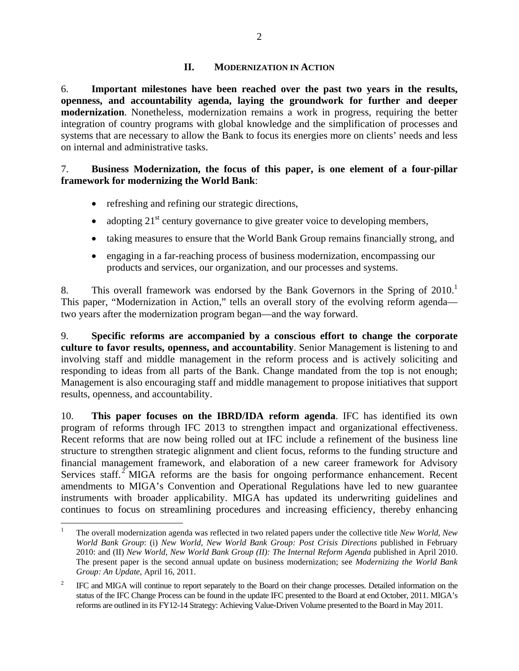### **II. MODERNIZATION IN ACTION**

6. **Important milestones have been reached over the past two years in the results, openness, and accountability agenda, laying the groundwork for further and deeper modernization**. Nonetheless, modernization remains a work in progress, requiring the better integration of country programs with global knowledge and the simplification of processes and systems that are necessary to allow the Bank to focus its energies more on clients' needs and less on internal and administrative tasks.

### 7. **Business Modernization, the focus of this paper, is one element of a four-pillar framework for modernizing the World Bank**:

- refreshing and refining our strategic directions,
- adopting  $21<sup>st</sup>$  century governance to give greater voice to developing members,
- taking measures to ensure that the World Bank Group remains financially strong, and
- engaging in a far-reaching process of business modernization, encompassing our products and services, our organization, and our processes and systems.

8. This overall framework was endorsed by the Bank Governors in the Spring of 2010.<sup>1</sup> This paper, "Modernization in Action," tells an overall story of the evolving reform agenda two years after the modernization program began—and the way forward.

9. **Specific reforms are accompanied by a conscious effort to change the corporate culture to favor results, openness, and accountability**. Senior Management is listening to and involving staff and middle management in the reform process and is actively soliciting and responding to ideas from all parts of the Bank. Change mandated from the top is not enough; Management is also encouraging staff and middle management to propose initiatives that support results, openness, and accountability.

10. **This paper focuses on the IBRD/IDA reform agenda**. IFC has identified its own program of reforms through IFC 2013 to strengthen impact and organizational effectiveness. Recent reforms that are now being rolled out at IFC include a refinement of the business line structure to strengthen strategic alignment and client focus, reforms to the funding structure and financial management framework, and elaboration of a new career framework for Advisory Services staff.<sup>2</sup> MIGA reforms are the basis for ongoing performance enhancement. Recent amendments to MIGA's Convention and Operational Regulations have led to new guarantee instruments with broader applicability. MIGA has updated its underwriting guidelines and continues to focus on streamlining procedures and increasing efficiency, thereby enhancing

 1 The overall modernization agenda was reflected in two related papers under the collective title *New World, New World Bank Group*: (i) *New World, New World Bank Group: Post Crisis Directions* published in February 2010: and (II) *New World, New World Bank Group (II): The Internal Reform Agenda* published in April 2010. The present paper is the second annual update on business modernization; see *Modernizing the World Bank Group: An Update*, April 16, 2011.

<sup>2</sup> IFC and MIGA will continue to report separately to the Board on their change processes. Detailed information on the status of the IFC Change Process can be found in the update IFC presented to the Board at end October, 2011. MIGA's reforms are outlined in its FY12-14 Strategy: Achieving Value-Driven Volume presented to the Board in May 2011.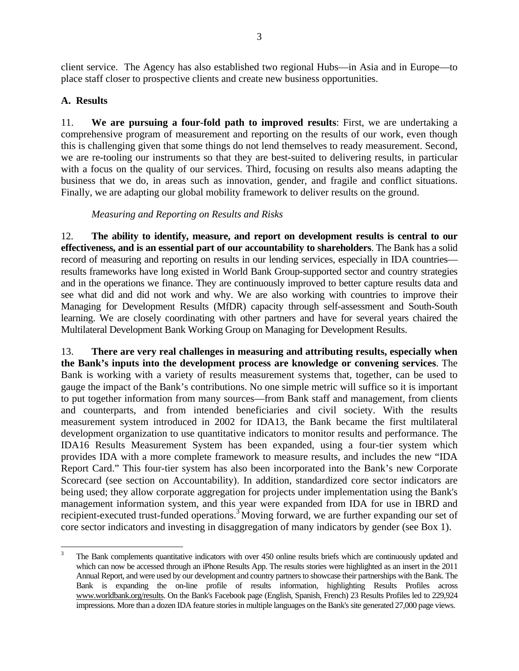client service. The Agency has also established two regional Hubs—in Asia and in Europe—to place staff closer to prospective clients and create new business opportunities.

# **A. Results**

11. **We are pursuing a four-fold path to improved results**: First, we are undertaking a comprehensive program of measurement and reporting on the results of our work, even though this is challenging given that some things do not lend themselves to ready measurement. Second, we are re-tooling our instruments so that they are best-suited to delivering results, in particular with a focus on the quality of our services. Third, focusing on results also means adapting the business that we do, in areas such as innovation, gender, and fragile and conflict situations. Finally, we are adapting our global mobility framework to deliver results on the ground.

*Measuring and Reporting on Results and Risks* 

12. **The ability to identify, measure, and report on development results is central to our effectiveness, and is an essential part of our accountability to shareholders**. The Bank has a solid record of measuring and reporting on results in our lending services, especially in IDA countries results frameworks have long existed in World Bank Group-supported sector and country strategies and in the operations we finance. They are continuously improved to better capture results data and see what did and did not work and why. We are also working with countries to improve their Managing for Development Results (MfDR) capacity through self-assessment and South-South learning. We are closely coordinating with other partners and have for several years chaired the Multilateral Development Bank Working Group on Managing for Development Results.

13. **There are very real challenges in measuring and attributing results, especially when the Bank's inputs into the development process are knowledge or convening services**. The Bank is working with a variety of results measurement systems that, together, can be used to gauge the impact of the Bank's contributions. No one simple metric will suffice so it is important to put together information from many sources—from Bank staff and management, from clients and counterparts, and from intended beneficiaries and civil society. With the results measurement system introduced in 2002 for IDA13, the Bank became the first multilateral development organization to use quantitative indicators to monitor results and performance. The IDA16 Results Measurement System has been expanded, using a four-tier system which provides IDA with a more complete framework to measure results, and includes the new "IDA Report Card." This four-tier system has also been incorporated into the Bank's new Corporate Scorecard (see section on Accountability). In addition, standardized core sector indicators are being used; they allow corporate aggregation for projects under implementation using the Bank's management information system, and this year were expanded from IDA for use in IBRD and recipient-executed trust-funded operations.<sup>3</sup> Moving forward, we are further expanding our set of core sector indicators and investing in disaggregation of many indicators by gender (see Box 1).

 3 The Bank complements quantitative indicators with over 450 online results briefs which are continuously updated and which can now be accessed through an iPhone Results App. The results stories were highlighted as an insert in the 2011 Annual Report, and were used by our development and country partners to showcase their partnerships with the Bank. The Bank is expanding the on-line profile of results information, highlighting Results Profiles across www.worldbank.org/results. On the Bank's Facebook page (English, Spanish, French) 23 Results Profiles led to 229,924 impressions. More than a dozen IDA feature stories in multiple languages on the Bank's site generated 27,000 page views.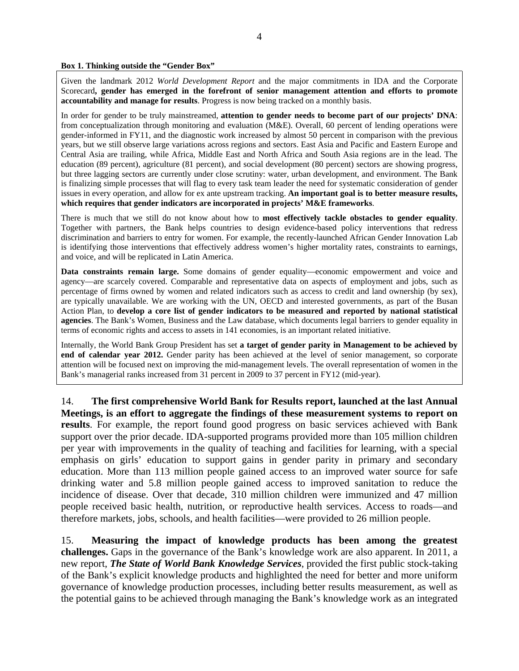**Box 1. Thinking outside the "Gender Box"** 

Given the landmark 2012 *World Development Report* and the major commitments in IDA and the Corporate Scorecard**, gender has emerged in the forefront of senior management attention and efforts to promote accountability and manage for results**. Progress is now being tracked on a monthly basis.

In order for gender to be truly mainstreamed, **attention to gender needs to become part of our projects' DNA**: from conceptualization through monitoring and evaluation (M&E). Overall, 60 percent of lending operations were gender-informed in FY11, and the diagnostic work increased by almost 50 percent in comparison with the previous years, but we still observe large variations across regions and sectors. East Asia and Pacific and Eastern Europe and Central Asia are trailing, while Africa, Middle East and North Africa and South Asia regions are in the lead. The education (89 percent), agriculture (81 percent), and social development (80 percent) sectors are showing progress, but three lagging sectors are currently under close scrutiny: water, urban development, and environment. The Bank is finalizing simple processes that will flag to every task team leader the need for systematic consideration of gender issues in every operation, and allow for ex ante upstream tracking. **An important goal is to better measure results, which requires that gender indicators are incorporated in projects' M&E frameworks**.

There is much that we still do not know about how to **most effectively tackle obstacles to gender equality**. Together with partners, the Bank helps countries to design evidence-based policy interventions that redress discrimination and barriers to entry for women. For example, the recently-launched African Gender Innovation Lab is identifying those interventions that effectively address women's higher mortality rates, constraints to earnings, and voice, and will be replicated in Latin America.

**Data constraints remain large.** Some domains of gender equality—economic empowerment and voice and agency—are scarcely covered. Comparable and representative data on aspects of employment and jobs, such as percentage of firms owned by women and related indicators such as access to credit and land ownership (by sex), are typically unavailable. We are working with the UN, OECD and interested governments, as part of the Busan Action Plan, to **develop a core list of gender indicators to be measured and reported by national statistical agencies**. The Bank's Women, Business and the Law database, which documents legal barriers to gender equality in terms of economic rights and access to assets in 141 economies, is an important related initiative.

Internally, the World Bank Group President has set **a target of gender parity in Management to be achieved by end of calendar year 2012.** Gender parity has been achieved at the level of senior management, so corporate attention will be focused next on improving the mid-management levels. The overall representation of women in the Bank's managerial ranks increased from 31 percent in 2009 to 37 percent in FY12 (mid-year).

14. **The first comprehensive World Bank for Results report, launched at the last Annual Meetings, is an effort to aggregate the findings of these measurement systems to report on results**. For example, the report found good progress on basic services achieved with Bank support over the prior decade. IDA-supported programs provided more than 105 million children per year with improvements in the quality of teaching and facilities for learning, with a special emphasis on girls' education to support gains in gender parity in primary and secondary education. More than 113 million people gained access to an improved water source for safe drinking water and 5.8 million people gained access to improved sanitation to reduce the incidence of disease. Over that decade, 310 million children were immunized and 47 million people received basic health, nutrition, or reproductive health services. Access to roads—and therefore markets, jobs, schools, and health facilities—were provided to 26 million people.

15. **Measuring the impact of knowledge products has been among the greatest challenges.** Gaps in the governance of the Bank's knowledge work are also apparent. In 2011, a new report, *The State of World Bank Knowledge Services*, provided the first public stock-taking of the Bank's explicit knowledge products and highlighted the need for better and more uniform governance of knowledge production processes, including better results measurement, as well as the potential gains to be achieved through managing the Bank's knowledge work as an integrated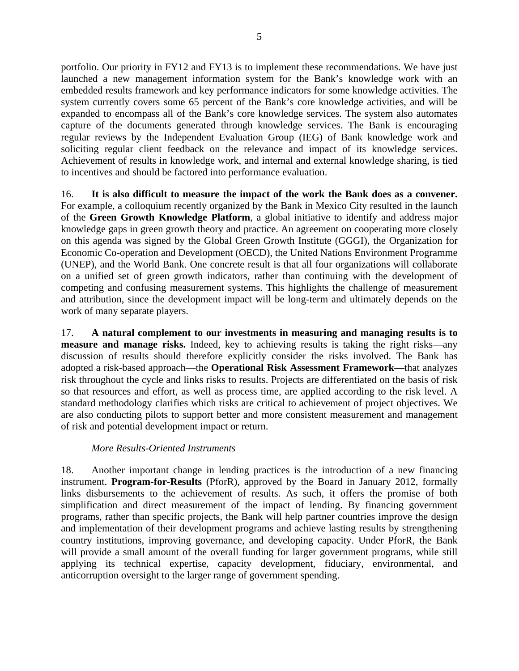portfolio. Our priority in FY12 and FY13 is to implement these recommendations. We have just launched a new management information system for the Bank's knowledge work with an embedded results framework and key performance indicators for some knowledge activities. The system currently covers some 65 percent of the Bank's core knowledge activities, and will be expanded to encompass all of the Bank's core knowledge services. The system also automates capture of the documents generated through knowledge services. The Bank is encouraging regular reviews by the Independent Evaluation Group (IEG) of Bank knowledge work and soliciting regular client feedback on the relevance and impact of its knowledge services. Achievement of results in knowledge work, and internal and external knowledge sharing, is tied to incentives and should be factored into performance evaluation.

16. **It is also difficult to measure the impact of the work the Bank does as a convener.** For example, a colloquium recently organized by the Bank in Mexico City resulted in the launch of the **Green Growth Knowledge Platform**, a global initiative to identify and address major knowledge gaps in green growth theory and practice. An agreement on cooperating more closely on this agenda was signed by the Global Green Growth Institute (GGGI), the Organization for Economic Co-operation and Development (OECD), the United Nations Environment Programme (UNEP), and the World Bank. One concrete result is that all four organizations will collaborate on a unified set of green growth indicators, rather than continuing with the development of competing and confusing measurement systems. This highlights the challenge of measurement and attribution, since the development impact will be long-term and ultimately depends on the work of many separate players.

17. **A natural complement to our investments in measuring and managing results is to measure and manage risks.** Indeed, key to achieving results is taking the right risks—any discussion of results should therefore explicitly consider the risks involved. The Bank has adopted a risk-based approach—the **Operational Risk Assessment Framework—**that analyzes risk throughout the cycle and links risks to results. Projects are differentiated on the basis of risk so that resources and effort, as well as process time, are applied according to the risk level. A standard methodology clarifies which risks are critical to achievement of project objectives. We are also conducting pilots to support better and more consistent measurement and management of risk and potential development impact or return.

# *More Results-Oriented Instruments*

18. Another important change in lending practices is the introduction of a new financing instrument. **Program-for-Results** (PforR), approved by the Board in January 2012, formally links disbursements to the achievement of results. As such, it offers the promise of both simplification and direct measurement of the impact of lending. By financing government programs, rather than specific projects, the Bank will help partner countries improve the design and implementation of their development programs and achieve lasting results by strengthening country institutions, improving governance, and developing capacity. Under PforR, the Bank will provide a small amount of the overall funding for larger government programs, while still applying its technical expertise, capacity development, fiduciary, environmental, and anticorruption oversight to the larger range of government spending.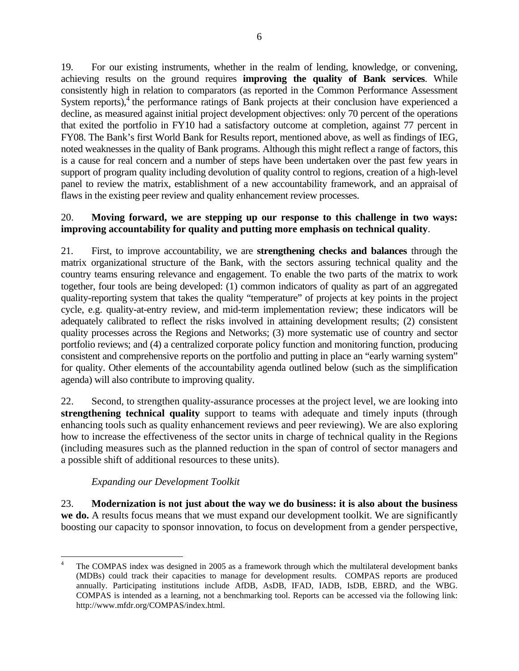19. For our existing instruments, whether in the realm of lending, knowledge, or convening, achieving results on the ground requires **improving the quality of Bank services**. While consistently high in relation to comparators (as reported in the Common Performance Assessment System reports),<sup>4</sup> the performance ratings of Bank projects at their conclusion have experienced a decline, as measured against initial project development objectives: only 70 percent of the operations that exited the portfolio in FY10 had a satisfactory outcome at completion, against 77 percent in FY08. The Bank's first World Bank for Results report, mentioned above, as well as findings of IEG, noted weaknesses in the quality of Bank programs. Although this might reflect a range of factors, this is a cause for real concern and a number of steps have been undertaken over the past few years in support of program quality including devolution of quality control to regions, creation of a high-level panel to review the matrix, establishment of a new accountability framework, and an appraisal of flaws in the existing peer review and quality enhancement review processes.

## 20. **Moving forward, we are stepping up our response to this challenge in two ways: improving accountability for quality and putting more emphasis on technical quality**.

21. First, to improve accountability, we are **strengthening checks and balances** through the matrix organizational structure of the Bank, with the sectors assuring technical quality and the country teams ensuring relevance and engagement. To enable the two parts of the matrix to work together, four tools are being developed: (1) common indicators of quality as part of an aggregated quality-reporting system that takes the quality "temperature" of projects at key points in the project cycle, e.g. quality-at-entry review, and mid-term implementation review; these indicators will be adequately calibrated to reflect the risks involved in attaining development results; (2) consistent quality processes across the Regions and Networks; (3) more systematic use of country and sector portfolio reviews; and (4) a centralized corporate policy function and monitoring function, producing consistent and comprehensive reports on the portfolio and putting in place an "early warning system" for quality. Other elements of the accountability agenda outlined below (such as the simplification agenda) will also contribute to improving quality.

22. Second, to strengthen quality-assurance processes at the project level, we are looking into **strengthening technical quality** support to teams with adequate and timely inputs (through enhancing tools such as quality enhancement reviews and peer reviewing). We are also exploring how to increase the effectiveness of the sector units in charge of technical quality in the Regions (including measures such as the planned reduction in the span of control of sector managers and a possible shift of additional resources to these units).

# *Expanding our Development Toolkit*

23. **Modernization is not just about the way we do business: it is also about the business we do.** A results focus means that we must expand our development toolkit. We are significantly boosting our capacity to sponsor innovation, to focus on development from a gender perspective,

<sup>4</sup> The COMPAS index was designed in 2005 as a framework through which the multilateral development banks (MDBs) could track their capacities to manage for development results. COMPAS reports are produced annually. Participating institutions include AfDB, AsDB, IFAD, IADB, IsDB, EBRD, and the WBG. COMPAS is intended as a learning, not a benchmarking tool. Reports can be accessed via the following link: http://www.mfdr.org/COMPAS/index.html.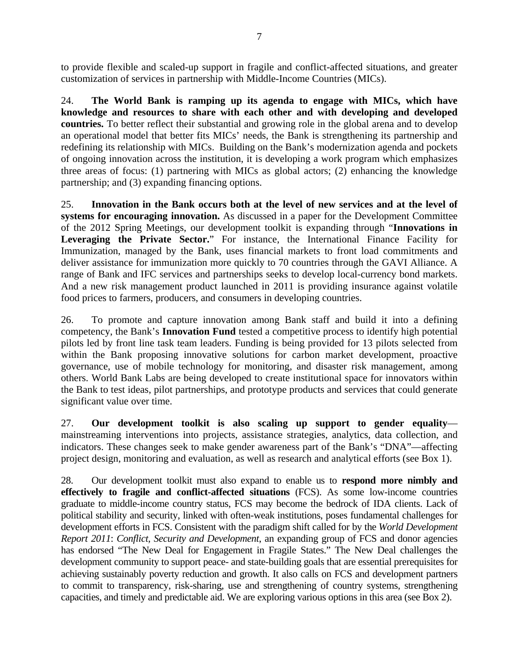to provide flexible and scaled-up support in fragile and conflict-affected situations, and greater customization of services in partnership with Middle-Income Countries (MICs).

24. **The World Bank is ramping up its agenda to engage with MICs, which have knowledge and resources to share with each other and with developing and developed countries.** To better reflect their substantial and growing role in the global arena and to develop an operational model that better fits MICs' needs, the Bank is strengthening its partnership and redefining its relationship with MICs. Building on the Bank's modernization agenda and pockets of ongoing innovation across the institution, it is developing a work program which emphasizes three areas of focus: (1) partnering with MICs as global actors; (2) enhancing the knowledge partnership; and (3) expanding financing options.

25. **Innovation in the Bank occurs both at the level of new services and at the level of systems for encouraging innovation.** As discussed in a paper for the Development Committee of the 2012 Spring Meetings, our development toolkit is expanding through "**Innovations in**  Leveraging the Private Sector." For instance, the International Finance Facility for Immunization, managed by the Bank, uses financial markets to front load commitments and deliver assistance for immunization more quickly to 70 countries through the GAVI Alliance. A range of Bank and IFC services and partnerships seeks to develop local-currency bond markets. And a new risk management product launched in 2011 is providing insurance against volatile food prices to farmers, producers, and consumers in developing countries.

26. To promote and capture innovation among Bank staff and build it into a defining competency, the Bank's **Innovation Fund** tested a competitive process to identify high potential pilots led by front line task team leaders. Funding is being provided for 13 pilots selected from within the Bank proposing innovative solutions for carbon market development, proactive governance, use of mobile technology for monitoring, and disaster risk management, among others. World Bank Labs are being developed to create institutional space for innovators within the Bank to test ideas, pilot partnerships, and prototype products and services that could generate significant value over time.

27. **Our development toolkit is also scaling up support to gender equality** mainstreaming interventions into projects, assistance strategies, analytics, data collection, and indicators. These changes seek to make gender awareness part of the Bank's "DNA"—affecting project design, monitoring and evaluation, as well as research and analytical efforts (see Box 1).

28. Our development toolkit must also expand to enable us to **respond more nimbly and effectively to fragile and conflict-affected situations** (FCS). As some low-income countries graduate to middle-income country status, FCS may become the bedrock of IDA clients. Lack of political stability and security, linked with often-weak institutions, poses fundamental challenges for development efforts in FCS. Consistent with the paradigm shift called for by the *World Development Report 2011*: *Conflict, Security and Development*, an expanding group of FCS and donor agencies has endorsed "The New Deal for Engagement in Fragile States." The New Deal challenges the development community to support peace- and state-building goals that are essential prerequisites for achieving sustainably poverty reduction and growth. It also calls on FCS and development partners to commit to transparency, risk-sharing, use and strengthening of country systems, strengthening capacities, and timely and predictable aid. We are exploring various options in this area (see Box 2).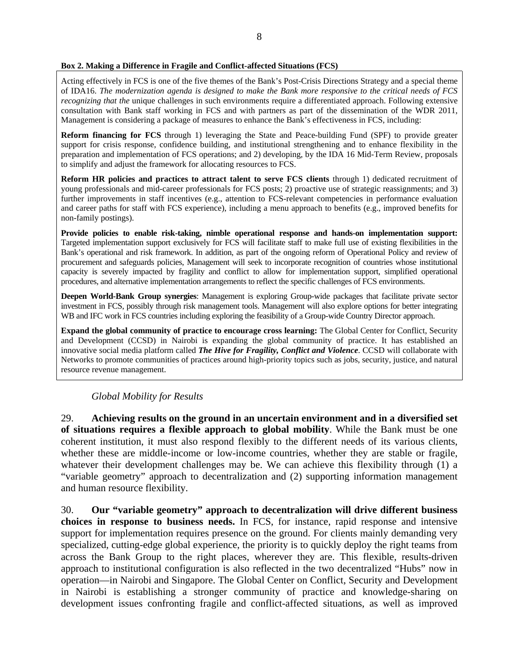#### **Box 2. Making a Difference in Fragile and Conflict-affected Situations (FCS)**

Acting effectively in FCS is one of the five themes of the Bank's Post-Crisis Directions Strategy and a special theme of IDA16. *The modernization agenda is designed to make the Bank more responsive to the critical needs of FCS recognizing that the* unique challenges in such environments require a differentiated approach. Following extensive consultation with Bank staff working in FCS and with partners as part of the dissemination of the WDR 2011, Management is considering a package of measures to enhance the Bank's effectiveness in FCS, including:

**Reform financing for FCS** through 1) leveraging the State and Peace-building Fund (SPF) to provide greater support for crisis response, confidence building, and institutional strengthening and to enhance flexibility in the preparation and implementation of FCS operations; and 2) developing, by the IDA 16 Mid-Term Review, proposals to simplify and adjust the framework for allocating resources to FCS.

**Reform HR policies and practices to attract talent to serve FCS clients** through 1) dedicated recruitment of young professionals and mid-career professionals for FCS posts; 2) proactive use of strategic reassignments; and 3) further improvements in staff incentives (e.g., attention to FCS-relevant competencies in performance evaluation and career paths for staff with FCS experience), including a menu approach to benefits (e.g., improved benefits for non-family postings).

**Provide policies to enable risk-taking, nimble operational response and hands-on implementation support:** Targeted implementation support exclusively for FCS will facilitate staff to make full use of existing flexibilities in the Bank's operational and risk framework. In addition, as part of the ongoing reform of Operational Policy and review of procurement and safeguards policies, Management will seek to incorporate recognition of countries whose institutional capacity is severely impacted by fragility and conflict to allow for implementation support, simplified operational procedures, and alternative implementation arrangements to reflect the specific challenges of FCS environments.

**Deepen World-Bank Group synergies**: Management is exploring Group-wide packages that facilitate private sector investment in FCS, possibly through risk management tools. Management will also explore options for better integrating WB and IFC work in FCS countries including exploring the feasibility of a Group-wide Country Director approach.

**Expand the global community of practice to encourage cross learning:** The Global Center for Conflict, Security and Development (CCSD) in Nairobi is expanding the global community of practice. It has established an innovative social media platform called *The Hive for Fragility, Conflict and Violence*. CCSD will collaborate with Networks to promote communities of practices around high-priority topics such as jobs, security, justice, and natural resource revenue management.

*Global Mobility for Results* 

29. **Achieving results on the ground in an uncertain environment and in a diversified set of situations requires a flexible approach to global mobility**. While the Bank must be one coherent institution, it must also respond flexibly to the different needs of its various clients, whether these are middle-income or low-income countries, whether they are stable or fragile, whatever their development challenges may be. We can achieve this flexibility through (1) a "variable geometry" approach to decentralization and (2) supporting information management and human resource flexibility.

30. **Our "variable geometry" approach to decentralization will drive different business choices in response to business needs.** In FCS, for instance, rapid response and intensive support for implementation requires presence on the ground. For clients mainly demanding very specialized, cutting-edge global experience, the priority is to quickly deploy the right teams from across the Bank Group to the right places, wherever they are. This flexible, results-driven approach to institutional configuration is also reflected in the two decentralized "Hubs" now in operation—in Nairobi and Singapore. The Global Center on Conflict, Security and Development in Nairobi is establishing a stronger community of practice and knowledge-sharing on development issues confronting fragile and conflict-affected situations, as well as improved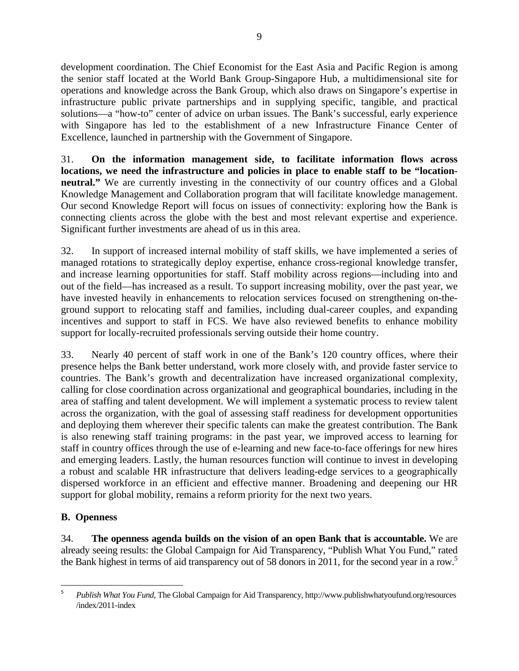development coordination. The Chief Economist for the East Asia and Pacific Region is among the senior staff located at the World Bank Group-Singapore Hub, a multidimensional site for operations and knowledge across the Bank Group, which also draws on Singapore's expertise in infrastructure public private partnerships and in supplying specific, tangible, and practical solutions—a "how-to" center of advice on urban issues. The Bank's successful, early experience with Singapore has led to the establishment of a new Infrastructure Finance Center of Excellence, launched in partnership with the Government of Singapore.

31. **On the information management side, to facilitate information flows across locations, we need the infrastructure and policies in place to enable staff to be "locationneutral."** We are currently investing in the connectivity of our country offices and a Global Knowledge Management and Collaboration program that will facilitate knowledge management. Our second Knowledge Report will focus on issues of connectivity: exploring how the Bank is connecting clients across the globe with the best and most relevant expertise and experience. Significant further investments are ahead of us in this area.

32. In support of increased internal mobility of staff skills, we have implemented a series of managed rotations to strategically deploy expertise, enhance cross-regional knowledge transfer, and increase learning opportunities for staff. Staff mobility across regions—including into and out of the field—has increased as a result. To support increasing mobility, over the past year, we have invested heavily in enhancements to relocation services focused on strengthening on-theground support to relocating staff and families, including dual-career couples, and expanding incentives and support to staff in FCS. We have also reviewed benefits to enhance mobility support for locally-recruited professionals serving outside their home country.

33. Nearly 40 percent of staff work in one of the Bank's 120 country offices, where their presence helps the Bank better understand, work more closely with, and provide faster service to countries. The Bank's growth and decentralization have increased organizational complexity, calling for close coordination across organizational and geographical boundaries, including in the area of staffing and talent development. We will implement a systematic process to review talent across the organization, with the goal of assessing staff readiness for development opportunities and deploying them wherever their specific talents can make the greatest contribution. The Bank is also renewing staff training programs: in the past year, we improved access to learning for staff in country offices through the use of e-learning and new face-to-face offerings for new hires and emerging leaders. Lastly, the human resources function will continue to invest in developing a robust and scalable HR infrastructure that delivers leading-edge services to a geographically dispersed workforce in an efficient and effective manner. Broadening and deepening our HR support for global mobility, remains a reform priority for the next two years.

# **B. Openness**

34. **The openness agenda builds on the vision of an open Bank that is accountable.** We are already seeing results: the Global Campaign for Aid Transparency, "Publish What You Fund," rated the Bank highest in terms of aid transparency out of 58 donors in 2011, for the second year in a row.5

 5 *Publish What You Fund*, The Global Campaign for Aid Transparency, http://www.publishwhatyoufund.org/resources /index/2011-index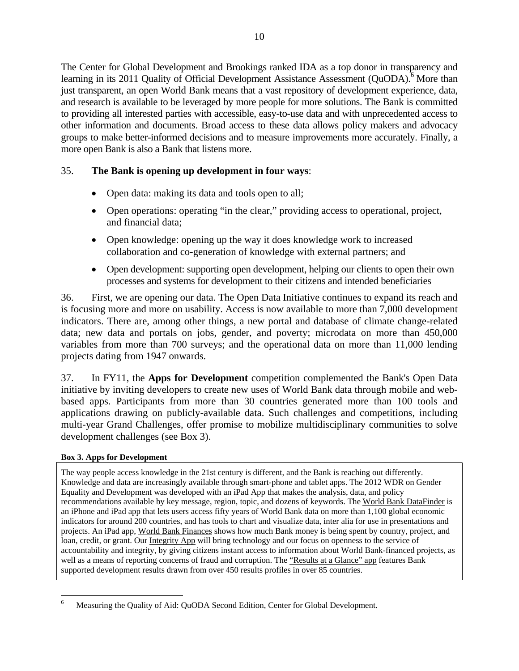The Center for Global Development and Brookings ranked IDA as a top donor in transparency and learning in its 2011 Quality of Official Development Assistance Assessment (QuODA).<sup>6</sup> More than just transparent, an open World Bank means that a vast repository of development experience, data, and research is available to be leveraged by more people for more solutions. The Bank is committed to providing all interested parties with accessible, easy-to-use data and with unprecedented access to other information and documents. Broad access to these data allows policy makers and advocacy groups to make better-informed decisions and to measure improvements more accurately. Finally, a more open Bank is also a Bank that listens more.

# 35. **The Bank is opening up development in four ways**:

- Open data: making its data and tools open to all;
- Open operations: operating "in the clear," providing access to operational, project, and financial data;
- Open knowledge: opening up the way it does knowledge work to increased collaboration and co-generation of knowledge with external partners; and
- Open development: supporting open development, helping our clients to open their own processes and systems for development to their citizens and intended beneficiaries

36. First, we are opening our data. The Open Data Initiative continues to expand its reach and is focusing more and more on usability. Access is now available to more than 7,000 development indicators. There are, among other things, a new portal and database of climate change-related data; new data and portals on jobs, gender, and poverty; microdata on more than 450,000 variables from more than 700 surveys; and the operational data on more than 11,000 lending projects dating from 1947 onwards.

37. In FY11, the **Apps for Development** competition complemented the Bank's Open Data initiative by inviting developers to create new uses of World Bank data through mobile and webbased apps. Participants from more than 30 countries generated more than 100 tools and applications drawing on publicly-available data. Such challenges and competitions, including multi-year Grand Challenges, offer promise to mobilize multidisciplinary communities to solve development challenges (see Box 3).

### **Box 3. Apps for Development**

The way people access knowledge in the 21st century is different, and the Bank is reaching out differently. Knowledge and data are increasingly available through smart-phone and tablet apps. The 2012 WDR on Gender Equality and Development was developed with an iPad App that makes the analysis, data, and policy recommendations available by key message, region, topic, and dozens of keywords. The World Bank DataFinder is an iPhone and iPad app that lets users access fifty years of World Bank data on more than 1,100 global economic indicators for around 200 countries, and has tools to chart and visualize data, inter alia for use in presentations and projects. An iPad app, World Bank Finances shows how much Bank money is being spent by country, project, and loan, credit, or grant. Our **Integrity App** will bring technology and our focus on openness to the service of accountability and integrity, by giving citizens instant access to information about World Bank-financed projects, as well as a means of reporting concerns of fraud and corruption. The "Results at a Glance" app features Bank supported development results drawn from over 450 results profiles in over 85 countries.

 6 Measuring the Quality of Aid: QuODA Second Edition, Center for Global Development.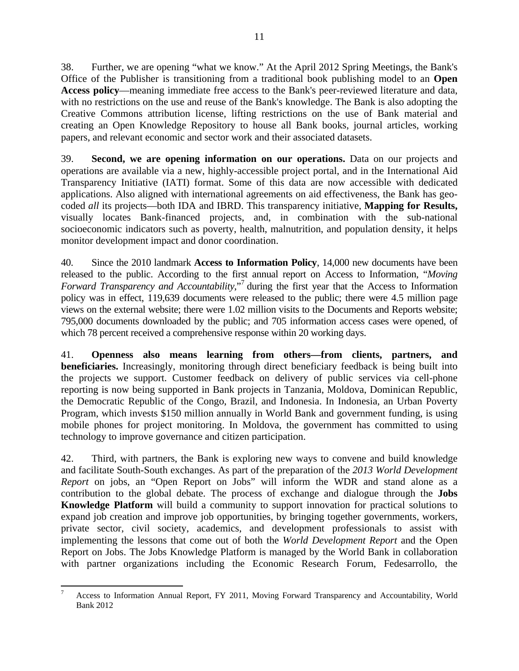38. Further, we are opening "what we know." At the April 2012 Spring Meetings, the Bank's Office of the Publisher is transitioning from a traditional book publishing model to an **Open Access policy**—meaning immediate free access to the Bank's peer-reviewed literature and data, with no restrictions on the use and reuse of the Bank's knowledge. The Bank is also adopting the Creative Commons attribution license, lifting restrictions on the use of Bank material and creating an Open Knowledge Repository to house all Bank books, journal articles, working papers, and relevant economic and sector work and their associated datasets.

39. **Second, we are opening information on our operations.** Data on our projects and operations are available via a new, highly-accessible project portal, and in the International Aid Transparency Initiative (IATI) format. Some of this data are now accessible with dedicated applications. Also aligned with international agreements on aid effectiveness, the Bank has geocoded *all* its projects—both IDA and IBRD. This transparency initiative, **Mapping for Results,**  visually locates Bank-financed projects, and, in combination with the sub-national socioeconomic indicators such as poverty, health, malnutrition, and population density, it helps monitor development impact and donor coordination.

40. Since the 2010 landmark **Access to Information Policy**, 14,000 new documents have been released to the public. According to the first annual report on Access to Information, "*Moving*  Forward Transparency and Accountability,"<sup>7</sup> during the first year that the Access to Information policy was in effect, 119,639 documents were released to the public; there were 4.5 million page views on the external website; there were 1.02 million visits to the Documents and Reports website; 795,000 documents downloaded by the public; and 705 information access cases were opened, of which 78 percent received a comprehensive response within 20 working days.

41. **Openness also means learning from others—from clients, partners, and beneficiaries.** Increasingly, monitoring through direct beneficiary feedback is being built into the projects we support. Customer feedback on delivery of public services via cell-phone reporting is now being supported in Bank projects in Tanzania, Moldova, Dominican Republic, the Democratic Republic of the Congo, Brazil, and Indonesia. In Indonesia, an Urban Poverty Program, which invests \$150 million annually in World Bank and government funding, is using mobile phones for project monitoring. In Moldova, the government has committed to using technology to improve governance and citizen participation.

42. Third, with partners, the Bank is exploring new ways to convene and build knowledge and facilitate South-South exchanges. As part of the preparation of the *2013 World Development Report* on jobs, an "Open Report on Jobs" will inform the WDR and stand alone as a contribution to the global debate. The process of exchange and dialogue through the **Jobs Knowledge Platform** will build a community to support innovation for practical solutions to expand job creation and improve job opportunities, by bringing together governments, workers, private sector, civil society, academics, and development professionals to assist with implementing the lessons that come out of both the *World Development Report* and the Open Report on Jobs. The Jobs Knowledge Platform is managed by the World Bank in collaboration with partner organizations including the Economic Research Forum, Fedesarrollo, the

 7 Access to Information Annual Report, FY 2011, Moving Forward Transparency and Accountability, World Bank 2012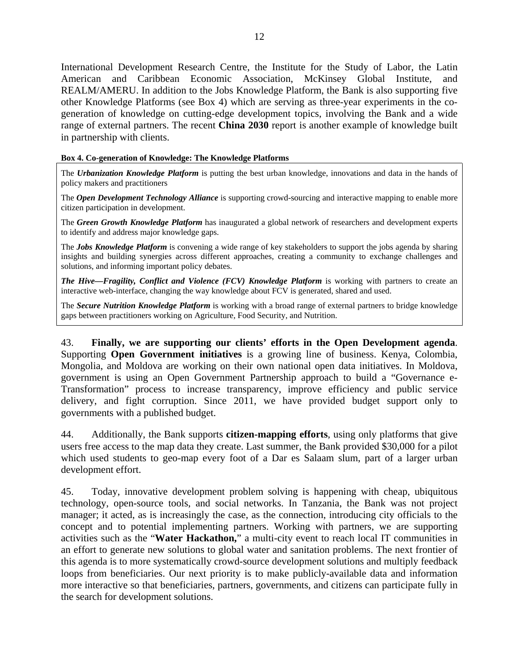International Development Research Centre, the Institute for the Study of Labor, the Latin American and Caribbean Economic Association, McKinsey Global Institute, and REALM/AMERU. In addition to the Jobs Knowledge Platform, the Bank is also supporting five other Knowledge Platforms (see Box 4) which are serving as three-year experiments in the cogeneration of knowledge on cutting-edge development topics, involving the Bank and a wide range of external partners. The recent **China 2030** report is another example of knowledge built in partnership with clients.

### **Box 4. Co-generation of Knowledge: The Knowledge Platforms**

The *Urbanization Knowledge Platform* is putting the best urban knowledge, innovations and data in the hands of policy makers and practitioners

The *Open Development Technology Alliance* is supporting crowd-sourcing and interactive mapping to enable more citizen participation in development.

The *Green Growth Knowledge Platform* has inaugurated a global network of researchers and development experts to identify and address major knowledge gaps.

The *Jobs Knowledge Platform* is convening a wide range of key stakeholders to support the jobs agenda by sharing insights and building synergies across different approaches, creating a community to exchange challenges and solutions, and informing important policy debates.

*The Hive—Fragility, Conflict and Violence (FCV) Knowledge Platform* is working with partners to create an interactive web-interface, changing the way knowledge about FCV is generated, shared and used.

The *Secure Nutrition Knowledge Platform* is working with a broad range of external partners to bridge knowledge gaps between practitioners working on Agriculture, Food Security, and Nutrition.

43. **Finally, we are supporting our clients' efforts in the Open Development agenda**. Supporting **Open Government initiatives** is a growing line of business. Kenya, Colombia, Mongolia, and Moldova are working on their own national open data initiatives. In Moldova, government is using an Open Government Partnership approach to build a "Governance e-Transformation" process to increase transparency, improve efficiency and public service delivery, and fight corruption. Since 2011, we have provided budget support only to governments with a published budget.

44. Additionally, the Bank supports **citizen-mapping efforts**, using only platforms that give users free access to the map data they create. Last summer, the Bank provided \$30,000 for a pilot which used students to geo-map every foot of a Dar es Salaam slum, part of a larger urban development effort.

45. Today, innovative development problem solving is happening with cheap, ubiquitous technology, open-source tools, and social networks. In Tanzania, the Bank was not project manager; it acted, as is increasingly the case, as the connection, introducing city officials to the concept and to potential implementing partners. Working with partners, we are supporting activities such as the "**Water Hackathon,**" a multi-city event to reach local IT communities in an effort to generate new solutions to global water and sanitation problems. The next frontier of this agenda is to more systematically crowd-source development solutions and multiply feedback loops from beneficiaries. Our next priority is to make publicly-available data and information more interactive so that beneficiaries, partners, governments, and citizens can participate fully in the search for development solutions.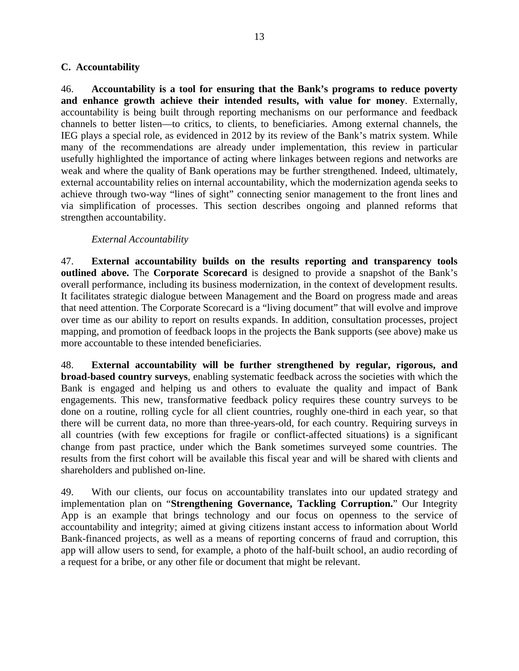### **C. Accountability**

46. **Accountability is a tool for ensuring that the Bank's programs to reduce poverty and enhance growth achieve their intended results, with value for money**. Externally, accountability is being built through reporting mechanisms on our performance and feedback channels to better listen—to critics, to clients, to beneficiaries. Among external channels, the IEG plays a special role, as evidenced in 2012 by its review of the Bank's matrix system. While many of the recommendations are already under implementation, this review in particular usefully highlighted the importance of acting where linkages between regions and networks are weak and where the quality of Bank operations may be further strengthened. Indeed, ultimately, external accountability relies on internal accountability, which the modernization agenda seeks to achieve through two-way "lines of sight" connecting senior management to the front lines and via simplification of processes. This section describes ongoing and planned reforms that strengthen accountability.

### *External Accountability*

47. **External accountability builds on the results reporting and transparency tools outlined above.** The **Corporate Scorecard** is designed to provide a snapshot of the Bank's overall performance, including its business modernization, in the context of development results. It facilitates strategic dialogue between Management and the Board on progress made and areas that need attention. The Corporate Scorecard is a "living document" that will evolve and improve over time as our ability to report on results expands. In addition, consultation processes, project mapping, and promotion of feedback loops in the projects the Bank supports (see above) make us more accountable to these intended beneficiaries.

48. **External accountability will be further strengthened by regular, rigorous, and broad-based country surveys**, enabling systematic feedback across the societies with which the Bank is engaged and helping us and others to evaluate the quality and impact of Bank engagements. This new, transformative feedback policy requires these country surveys to be done on a routine, rolling cycle for all client countries, roughly one-third in each year, so that there will be current data, no more than three-years-old, for each country. Requiring surveys in all countries (with few exceptions for fragile or conflict-affected situations) is a significant change from past practice, under which the Bank sometimes surveyed some countries. The results from the first cohort will be available this fiscal year and will be shared with clients and shareholders and published on-line.

49. With our clients, our focus on accountability translates into our updated strategy and implementation plan on "**Strengthening Governance, Tackling Corruption.**" Our Integrity App is an example that brings technology and our focus on openness to the service of accountability and integrity; aimed at giving citizens instant access to information about World Bank-financed projects, as well as a means of reporting concerns of fraud and corruption, this app will allow users to send, for example, a photo of the half-built school, an audio recording of a request for a bribe, or any other file or document that might be relevant.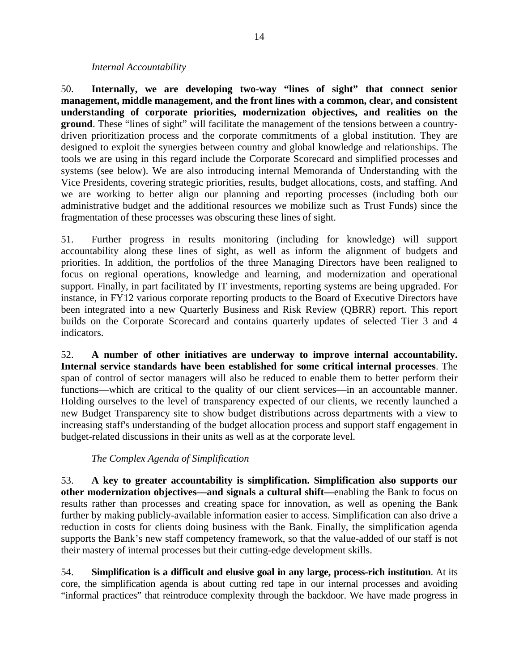### *Internal Accountability*

50. **Internally, we are developing two-way "lines of sight" that connect senior management, middle management, and the front lines with a common, clear, and consistent understanding of corporate priorities, modernization objectives, and realities on the ground**. These "lines of sight" will facilitate the management of the tensions between a countrydriven prioritization process and the corporate commitments of a global institution. They are designed to exploit the synergies between country and global knowledge and relationships. The tools we are using in this regard include the Corporate Scorecard and simplified processes and systems (see below). We are also introducing internal Memoranda of Understanding with the Vice Presidents, covering strategic priorities, results, budget allocations, costs, and staffing. And we are working to better align our planning and reporting processes (including both our administrative budget and the additional resources we mobilize such as Trust Funds) since the fragmentation of these processes was obscuring these lines of sight.

51. Further progress in results monitoring (including for knowledge) will support accountability along these lines of sight, as well as inform the alignment of budgets and priorities. In addition, the portfolios of the three Managing Directors have been realigned to focus on regional operations, knowledge and learning, and modernization and operational support. Finally, in part facilitated by IT investments, reporting systems are being upgraded. For instance, in FY12 various corporate reporting products to the Board of Executive Directors have been integrated into a new Quarterly Business and Risk Review (QBRR) report. This report builds on the Corporate Scorecard and contains quarterly updates of selected Tier 3 and 4 indicators.

52. **A number of other initiatives are underway to improve internal accountability. Internal service standards have been established for some critical internal processes**. The span of control of sector managers will also be reduced to enable them to better perform their functions—which are critical to the quality of our client services—in an accountable manner. Holding ourselves to the level of transparency expected of our clients, we recently launched a new Budget Transparency site to show budget distributions across departments with a view to increasing staff's understanding of the budget allocation process and support staff engagement in budget-related discussions in their units as well as at the corporate level.

# *The Complex Agenda of Simplification*

53. **A key to greater accountability is simplification. Simplification also supports our other modernization objectives—and signals a cultural shift—**enabling the Bank to focus on results rather than processes and creating space for innovation, as well as opening the Bank further by making publicly-available information easier to access. Simplification can also drive a reduction in costs for clients doing business with the Bank. Finally, the simplification agenda supports the Bank's new staff competency framework, so that the value-added of our staff is not their mastery of internal processes but their cutting-edge development skills.

54. **Simplification is a difficult and elusive goal in any large, process-rich institution**. At its core, the simplification agenda is about cutting red tape in our internal processes and avoiding "informal practices" that reintroduce complexity through the backdoor. We have made progress in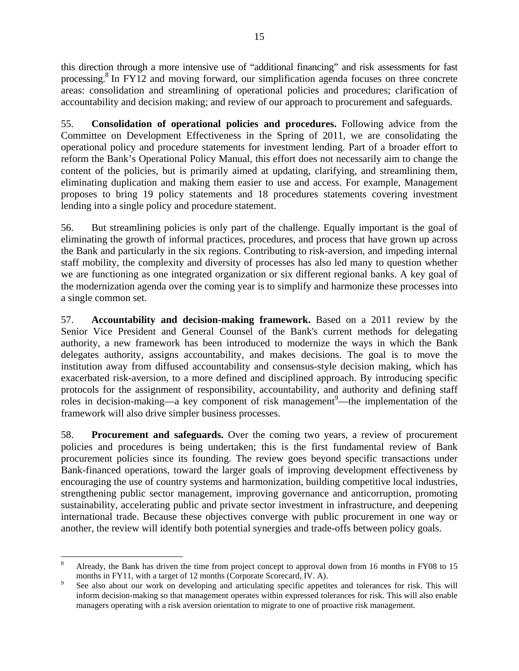this direction through a more intensive use of "additional financing" and risk assessments for fast processing.<sup>8</sup> In FY12 and moving forward, our simplification agenda focuses on three concrete areas: consolidation and streamlining of operational policies and procedures; clarification of accountability and decision making; and review of our approach to procurement and safeguards.

55. **Consolidation of operational policies and procedures.** Following advice from the Committee on Development Effectiveness in the Spring of 2011, we are consolidating the operational policy and procedure statements for investment lending. Part of a broader effort to reform the Bank's Operational Policy Manual, this effort does not necessarily aim to change the content of the policies, but is primarily aimed at updating, clarifying, and streamlining them, eliminating duplication and making them easier to use and access. For example, Management proposes to bring 19 policy statements and 18 procedures statements covering investment lending into a single policy and procedure statement.

56. But streamlining policies is only part of the challenge. Equally important is the goal of eliminating the growth of informal practices, procedures, and process that have grown up across the Bank and particularly in the six regions. Contributing to risk-aversion, and impeding internal staff mobility, the complexity and diversity of processes has also led many to question whether we are functioning as one integrated organization or six different regional banks. A key goal of the modernization agenda over the coming year is to simplify and harmonize these processes into a single common set.

57. **Accountability and decision-making framework.** Based on a 2011 review by the Senior Vice President and General Counsel of the Bank's current methods for delegating authority, a new framework has been introduced to modernize the ways in which the Bank delegates authority, assigns accountability, and makes decisions. The goal is to move the institution away from diffused accountability and consensus-style decision making, which has exacerbated risk-aversion, to a more defined and disciplined approach. By introducing specific protocols for the assignment of responsibility, accountability, and authority and defining staff roles in decision-making—a key component of risk management $\degree$ —the implementation of the framework will also drive simpler business processes.

58. **Procurement and safeguards.** Over the coming two years, a review of procurement policies and procedures is being undertaken; this is the first fundamental review of Bank procurement policies since its founding. The review goes beyond specific transactions under Bank-financed operations, toward the larger goals of improving development effectiveness by encouraging the use of country systems and harmonization, building competitive local industries, strengthening public sector management, improving governance and anticorruption, promoting sustainability, accelerating public and private sector investment in infrastructure, and deepening international trade. Because these objectives converge with public procurement in one way or another, the review will identify both potential synergies and trade-offs between policy goals.

 8 Already, the Bank has driven the time from project concept to approval down from 16 months in FY08 to 15 months in FY11, with a target of 12 months (Corporate Scorecard, IV. A).

See also about our work on developing and articulating specific appetites and tolerances for risk. This will inform decision-making so that management operates within expressed tolerances for risk. This will also enable managers operating with a risk aversion orientation to migrate to one of proactive risk management.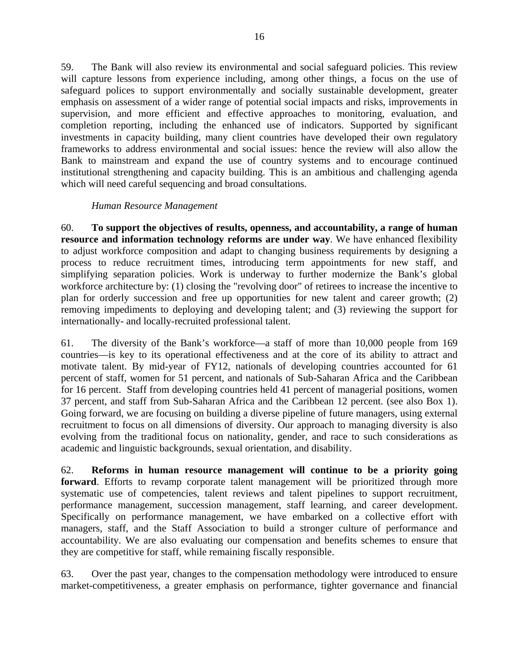59. The Bank will also review its environmental and social safeguard policies. This review will capture lessons from experience including, among other things, a focus on the use of safeguard polices to support environmentally and socially sustainable development, greater emphasis on assessment of a wider range of potential social impacts and risks, improvements in supervision, and more efficient and effective approaches to monitoring, evaluation, and completion reporting, including the enhanced use of indicators. Supported by significant investments in capacity building, many client countries have developed their own regulatory frameworks to address environmental and social issues: hence the review will also allow the Bank to mainstream and expand the use of country systems and to encourage continued institutional strengthening and capacity building. This is an ambitious and challenging agenda which will need careful sequencing and broad consultations.

### *Human Resource Management*

60. **To support the objectives of results, openness, and accountability, a range of human resource and information technology reforms are under way**. We have enhanced flexibility to adjust workforce composition and adapt to changing business requirements by designing a process to reduce recruitment times, introducing term appointments for new staff, and simplifying separation policies. Work is underway to further modernize the Bank's global workforce architecture by: (1) closing the "revolving door" of retirees to increase the incentive to plan for orderly succession and free up opportunities for new talent and career growth; (2) removing impediments to deploying and developing talent; and (3) reviewing the support for internationally- and locally-recruited professional talent.

61. The diversity of the Bank's workforce—a staff of more than 10,000 people from 169 countries—is key to its operational effectiveness and at the core of its ability to attract and motivate talent. By mid-year of FY12, nationals of developing countries accounted for 61 percent of staff, women for 51 percent, and nationals of Sub-Saharan Africa and the Caribbean for 16 percent. Staff from developing countries held 41 percent of managerial positions, women 37 percent, and staff from Sub-Saharan Africa and the Caribbean 12 percent. (see also Box 1). Going forward, we are focusing on building a diverse pipeline of future managers, using external recruitment to focus on all dimensions of diversity. Our approach to managing diversity is also evolving from the traditional focus on nationality, gender, and race to such considerations as academic and linguistic backgrounds, sexual orientation, and disability.

62. **Reforms in human resource management will continue to be a priority going forward**. Efforts to revamp corporate talent management will be prioritized through more systematic use of competencies, talent reviews and talent pipelines to support recruitment, performance management, succession management, staff learning, and career development. Specifically on performance management, we have embarked on a collective effort with managers, staff, and the Staff Association to build a stronger culture of performance and accountability. We are also evaluating our compensation and benefits schemes to ensure that they are competitive for staff, while remaining fiscally responsible.

63. Over the past year, changes to the compensation methodology were introduced to ensure market-competitiveness, a greater emphasis on performance, tighter governance and financial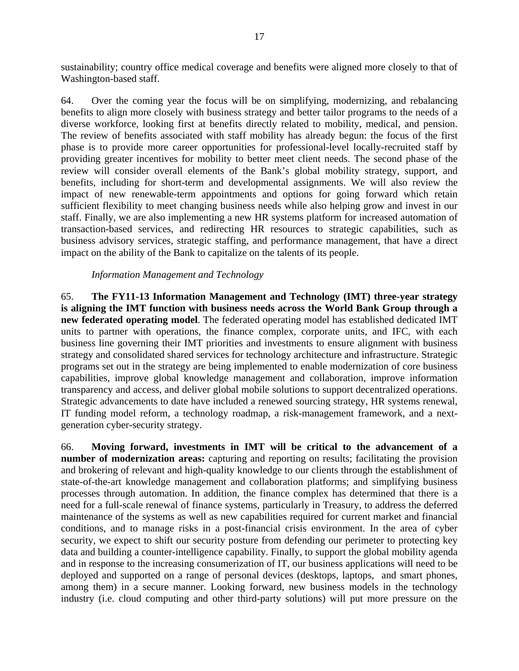sustainability; country office medical coverage and benefits were aligned more closely to that of Washington-based staff.

64. Over the coming year the focus will be on simplifying, modernizing, and rebalancing benefits to align more closely with business strategy and better tailor programs to the needs of a diverse workforce, looking first at benefits directly related to mobility, medical, and pension. The review of benefits associated with staff mobility has already begun: the focus of the first phase is to provide more career opportunities for professional-level locally-recruited staff by providing greater incentives for mobility to better meet client needs. The second phase of the review will consider overall elements of the Bank's global mobility strategy, support, and benefits, including for short-term and developmental assignments. We will also review the impact of new renewable-term appointments and options for going forward which retain sufficient flexibility to meet changing business needs while also helping grow and invest in our staff. Finally, we are also implementing a new HR systems platform for increased automation of transaction-based services, and redirecting HR resources to strategic capabilities, such as business advisory services, strategic staffing, and performance management, that have a direct impact on the ability of the Bank to capitalize on the talents of its people.

### *Information Management and Technology*

65. **The FY11-13 Information Management and Technology (IMT) three-year strategy is aligning the IMT function with business needs across the World Bank Group through a new federated operating model**. The federated operating model has established dedicated IMT units to partner with operations, the finance complex, corporate units, and IFC, with each business line governing their IMT priorities and investments to ensure alignment with business strategy and consolidated shared services for technology architecture and infrastructure. Strategic programs set out in the strategy are being implemented to enable modernization of core business capabilities, improve global knowledge management and collaboration, improve information transparency and access, and deliver global mobile solutions to support decentralized operations. Strategic advancements to date have included a renewed sourcing strategy, HR systems renewal, IT funding model reform, a technology roadmap, a risk-management framework, and a nextgeneration cyber-security strategy.

66. **Moving forward, investments in IMT will be critical to the advancement of a number of modernization areas:** capturing and reporting on results; facilitating the provision and brokering of relevant and high-quality knowledge to our clients through the establishment of state-of-the-art knowledge management and collaboration platforms; and simplifying business processes through automation. In addition, the finance complex has determined that there is a need for a full-scale renewal of finance systems, particularly in Treasury, to address the deferred maintenance of the systems as well as new capabilities required for current market and financial conditions, and to manage risks in a post-financial crisis environment. In the area of cyber security, we expect to shift our security posture from defending our perimeter to protecting key data and building a counter-intelligence capability. Finally, to support the global mobility agenda and in response to the increasing consumerization of IT, our business applications will need to be deployed and supported on a range of personal devices (desktops, laptops, and smart phones, among them) in a secure manner. Looking forward, new business models in the technology industry (i.e. cloud computing and other third-party solutions) will put more pressure on the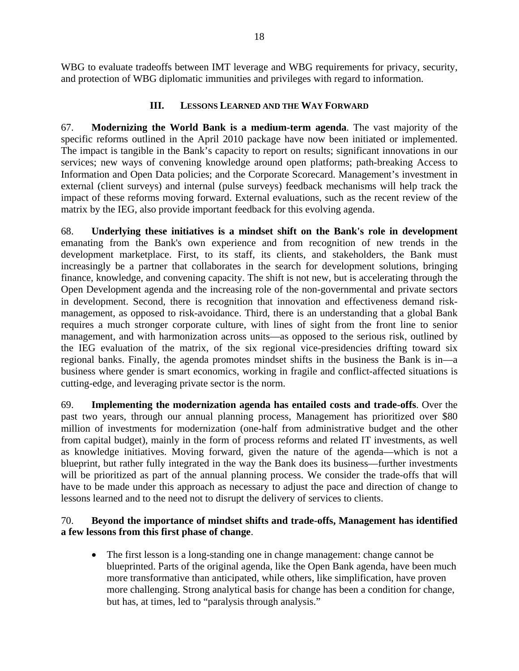WBG to evaluate tradeoffs between IMT leverage and WBG requirements for privacy, security, and protection of WBG diplomatic immunities and privileges with regard to information.

### **III. LESSONS LEARNED AND THE WAY FORWARD**

67. **Modernizing the World Bank is a medium-term agenda**. The vast majority of the specific reforms outlined in the April 2010 package have now been initiated or implemented. The impact is tangible in the Bank's capacity to report on results; significant innovations in our services; new ways of convening knowledge around open platforms; path-breaking Access to Information and Open Data policies; and the Corporate Scorecard. Management's investment in external (client surveys) and internal (pulse surveys) feedback mechanisms will help track the impact of these reforms moving forward. External evaluations, such as the recent review of the matrix by the IEG, also provide important feedback for this evolving agenda.

68. **Underlying these initiatives is a mindset shift on the Bank's role in development** emanating from the Bank's own experience and from recognition of new trends in the development marketplace. First, to its staff, its clients, and stakeholders, the Bank must increasingly be a partner that collaborates in the search for development solutions, bringing finance, knowledge, and convening capacity. The shift is not new, but is accelerating through the Open Development agenda and the increasing role of the non-governmental and private sectors in development. Second, there is recognition that innovation and effectiveness demand riskmanagement, as opposed to risk-avoidance. Third, there is an understanding that a global Bank requires a much stronger corporate culture, with lines of sight from the front line to senior management, and with harmonization across units—as opposed to the serious risk, outlined by the IEG evaluation of the matrix, of the six regional vice-presidencies drifting toward six regional banks. Finally, the agenda promotes mindset shifts in the business the Bank is in—a business where gender is smart economics, working in fragile and conflict-affected situations is cutting-edge, and leveraging private sector is the norm.

69. **Implementing the modernization agenda has entailed costs and trade-offs**. Over the past two years, through our annual planning process, Management has prioritized over \$80 million of investments for modernization (one-half from administrative budget and the other from capital budget), mainly in the form of process reforms and related IT investments, as well as knowledge initiatives. Moving forward, given the nature of the agenda—which is not a blueprint, but rather fully integrated in the way the Bank does its business—further investments will be prioritized as part of the annual planning process. We consider the trade-offs that will have to be made under this approach as necessary to adjust the pace and direction of change to lessons learned and to the need not to disrupt the delivery of services to clients.

# 70. **Beyond the importance of mindset shifts and trade-offs, Management has identified a few lessons from this first phase of change**.

 The first lesson is a long-standing one in change management: change cannot be blueprinted. Parts of the original agenda, like the Open Bank agenda, have been much more transformative than anticipated, while others, like simplification, have proven more challenging. Strong analytical basis for change has been a condition for change, but has, at times, led to "paralysis through analysis."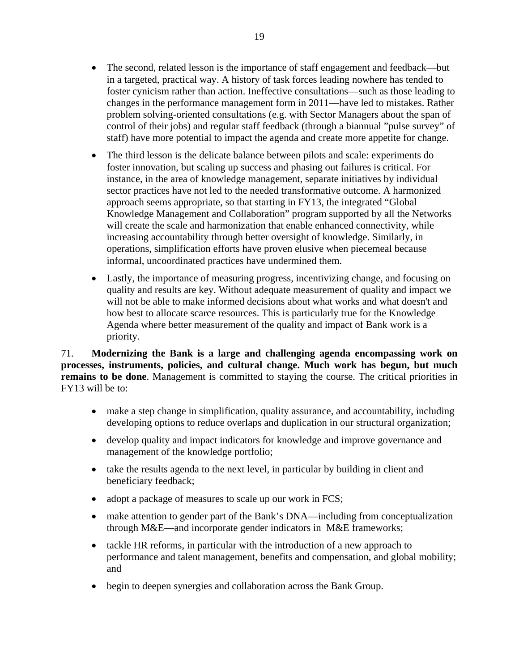- The second, related lesson is the importance of staff engagement and feedback—but in a targeted, practical way. A history of task forces leading nowhere has tended to foster cynicism rather than action. Ineffective consultations—such as those leading to changes in the performance management form in 2011—have led to mistakes. Rather problem solving-oriented consultations (e.g. with Sector Managers about the span of control of their jobs) and regular staff feedback (through a biannual "pulse survey" of staff) have more potential to impact the agenda and create more appetite for change.
- The third lesson is the delicate balance between pilots and scale: experiments do foster innovation, but scaling up success and phasing out failures is critical. For instance, in the area of knowledge management, separate initiatives by individual sector practices have not led to the needed transformative outcome. A harmonized approach seems appropriate, so that starting in FY13, the integrated "Global Knowledge Management and Collaboration" program supported by all the Networks will create the scale and harmonization that enable enhanced connectivity, while increasing accountability through better oversight of knowledge. Similarly, in operations, simplification efforts have proven elusive when piecemeal because informal, uncoordinated practices have undermined them.
- Lastly, the importance of measuring progress, incentivizing change, and focusing on quality and results are key. Without adequate measurement of quality and impact we will not be able to make informed decisions about what works and what doesn't and how best to allocate scarce resources. This is particularly true for the Knowledge Agenda where better measurement of the quality and impact of Bank work is a priority.

71. **Modernizing the Bank is a large and challenging agenda encompassing work on processes, instruments, policies, and cultural change. Much work has begun, but much remains to be done**. Management is committed to staying the course. The critical priorities in FY13 will be to:

- make a step change in simplification, quality assurance, and accountability, including developing options to reduce overlaps and duplication in our structural organization;
- develop quality and impact indicators for knowledge and improve governance and management of the knowledge portfolio;
- take the results agenda to the next level, in particular by building in client and beneficiary feedback;
- adopt a package of measures to scale up our work in FCS;
- make attention to gender part of the Bank's DNA—including from conceptualization through M&E—and incorporate gender indicators in M&E frameworks;
- tackle HR reforms, in particular with the introduction of a new approach to performance and talent management, benefits and compensation, and global mobility; and
- begin to deepen synergies and collaboration across the Bank Group.